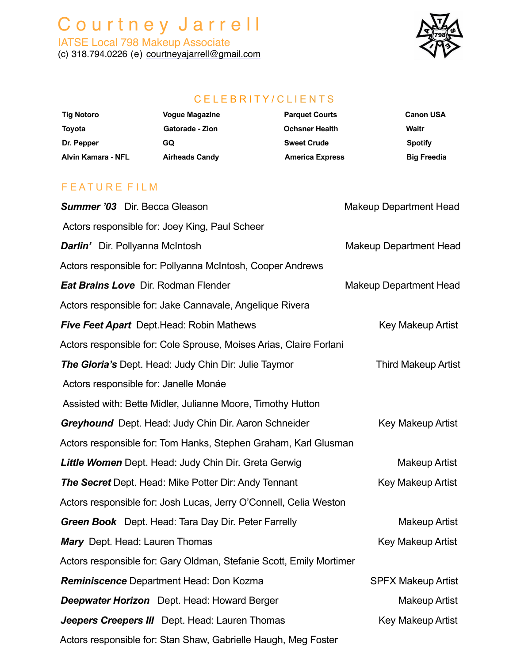# C o u r t n e y J a r r e l l

IATSE Local 798 Makeup Associate (c) 318.794.0226 (e) [courtneyajarrell@gmail.com](mailto:courtneyajarrell@gmail.com)



### C E L E B R I T Y / C L I E N T S

| <b>Tig Notoro</b>  | <b>Vogue Magazine</b>  | <b>Parquet Courts</b>  | <b>Canon USA</b>   |
|--------------------|------------------------|------------------------|--------------------|
| Toyota             | <b>Gatorade - Zion</b> | <b>Ochsner Health</b>  | Waitr              |
| Dr. Pepper         | GQ                     | <b>Sweet Crude</b>     | <b>Spotify</b>     |
| Alvin Kamara - NFL | <b>Airheads Candy</b>  | <b>America Express</b> | <b>Big Freedia</b> |
|                    |                        |                        |                    |
|                    |                        |                        |                    |

#### F E A T U R E F I L M

| <b>Summer '03</b> Dir. Becca Gleason                                | <b>Makeup Department Head</b> |
|---------------------------------------------------------------------|-------------------------------|
| Actors responsible for: Joey King, Paul Scheer                      |                               |
| <b>Darlin'</b> Dir. Pollyanna McIntosh                              | <b>Makeup Department Head</b> |
| Actors responsible for: Pollyanna McIntosh, Cooper Andrews          |                               |
| Eat Brains Love Dir. Rodman Flender                                 | <b>Makeup Department Head</b> |
| Actors responsible for: Jake Cannavale, Angelique Rivera            |                               |
| <b>Five Feet Apart</b> Dept. Head: Robin Mathews                    | Key Makeup Artist             |
| Actors responsible for: Cole Sprouse, Moises Arias, Claire Forlani  |                               |
| <b>The Gloria's Dept. Head: Judy Chin Dir: Julie Taymor</b>         | <b>Third Makeup Artist</b>    |
| Actors responsible for: Janelle Monáe                               |                               |
| Assisted with: Bette Midler, Julianne Moore, Timothy Hutton         |                               |
| <b>Greyhound</b> Dept. Head: Judy Chin Dir. Aaron Schneider         | <b>Key Makeup Artist</b>      |
| Actors responsible for: Tom Hanks, Stephen Graham, Karl Glusman     |                               |
| <b>Little Women</b> Dept. Head: Judy Chin Dir. Greta Gerwig         | <b>Makeup Artist</b>          |
| <b>The Secret</b> Dept. Head: Mike Potter Dir: Andy Tennant         | <b>Key Makeup Artist</b>      |
| Actors responsible for: Josh Lucas, Jerry O'Connell, Celia Weston   |                               |
| <b>Green Book</b> Dept. Head: Tara Day Dir. Peter Farrelly          | <b>Makeup Artist</b>          |
| <b>Mary</b> Dept. Head: Lauren Thomas                               | <b>Key Makeup Artist</b>      |
| Actors responsible for: Gary Oldman, Stefanie Scott, Emily Mortimer |                               |
| Reminiscence Department Head: Don Kozma                             | <b>SPFX Makeup Artist</b>     |
| <b>Deepwater Horizon</b> Dept. Head: Howard Berger                  | <b>Makeup Artist</b>          |
| Jeepers Creepers III Dept. Head: Lauren Thomas                      | Key Makeup Artist             |
| Actors responsible for: Stan Shaw, Gabrielle Haugh, Meg Foster      |                               |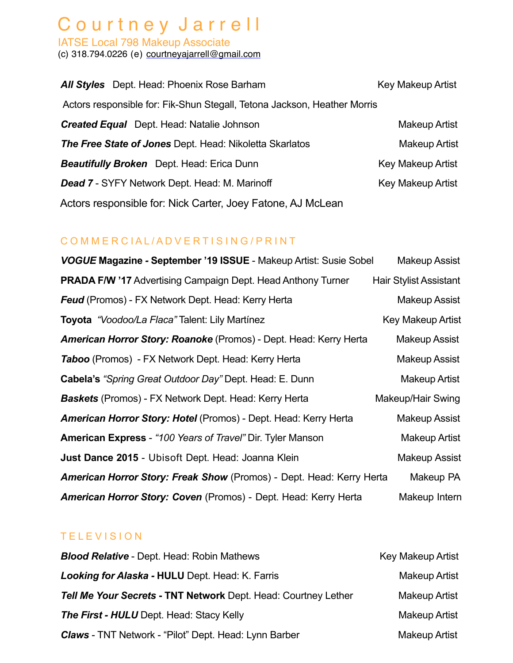## Courtney Jarrell

IATSE Local 798 Makeup Associate (c) 318.794.0226 (e) [courtneyajarrell@gmail.com](mailto:courtneyajarrell@gmail.com)

| <b>All Styles</b> Dept. Head: Phoenix Rose Barham                        | Key Makeup Artist        |
|--------------------------------------------------------------------------|--------------------------|
| Actors responsible for: Fik-Shun Stegall, Tetona Jackson, Heather Morris |                          |
| <b>Created Equal</b> Dept. Head: Natalie Johnson                         | <b>Makeup Artist</b>     |
| <b>The Free State of Jones Dept. Head: Nikoletta Skarlatos</b>           | <b>Makeup Artist</b>     |
| <b>Beautifully Broken</b> Dept. Head: Erica Dunn                         | <b>Key Makeup Artist</b> |
| Dead 7 - SYFY Network Dept. Head: M. Marinoff                            | <b>Key Makeup Artist</b> |
| Actors responsible for: Nick Carter, Joey Fatone, AJ McLean              |                          |

### COMMERCIAL/ADVERTISING/PRINT

| VOGUE Magazine - September '19 ISSUE - Makeup Artist: Susie Sobel           | <b>Makeup Assist</b>          |
|-----------------------------------------------------------------------------|-------------------------------|
| <b>PRADA F/W '17 Advertising Campaign Dept. Head Anthony Turner</b>         | <b>Hair Stylist Assistant</b> |
| <b>Feud</b> (Promos) - FX Network Dept. Head: Kerry Herta                   | Makeup Assist                 |
| <b>Toyota</b> "Voodoo/La Flaca" Talent: Lily Martínez                       | Key Makeup Artist             |
| <b>American Horror Story: Roanoke</b> (Promos) - Dept. Head: Kerry Herta    | Makeup Assist                 |
| <b>Taboo</b> (Promos) - FX Network Dept. Head: Kerry Herta                  | Makeup Assist                 |
| <b>Cabela's "Spring Great Outdoor Day" Dept. Head: E. Dunn</b>              | Makeup Artist                 |
| <b>Baskets</b> (Promos) - FX Network Dept. Head: Kerry Herta                | Makeup/Hair Swing             |
| <b>American Horror Story: Hotel</b> (Promos) - Dept. Head: Kerry Herta      | Makeup Assist                 |
| <b>American Express</b> - "100 Years of Travel" Dir. Tyler Manson           | Makeup Artist                 |
| Just Dance 2015 - Ubisoft Dept. Head: Joanna Klein                          | <b>Makeup Assist</b>          |
| <b>American Horror Story: Freak Show</b> (Promos) - Dept. Head: Kerry Herta | Makeup PA                     |
| American Horror Story: Coven (Promos) - Dept. Head: Kerry Herta             | Makeup Intern                 |

### TELEVISION

| <b>Blood Relative - Dept. Head: Robin Mathews</b>              | <b>Key Makeup Artist</b> |
|----------------------------------------------------------------|--------------------------|
| Looking for Alaska - HULU Dept. Head: K. Farris                | <b>Makeup Artist</b>     |
| Tell Me Your Secrets - TNT Network Dept. Head: Courtney Lether | <b>Makeup Artist</b>     |
| <b>The First - HULU</b> Dept. Head: Stacy Kelly                | Makeup Artist            |
| <b>Claws</b> - TNT Network - "Pilot" Dept. Head: Lynn Barber   | Makeup Artist            |